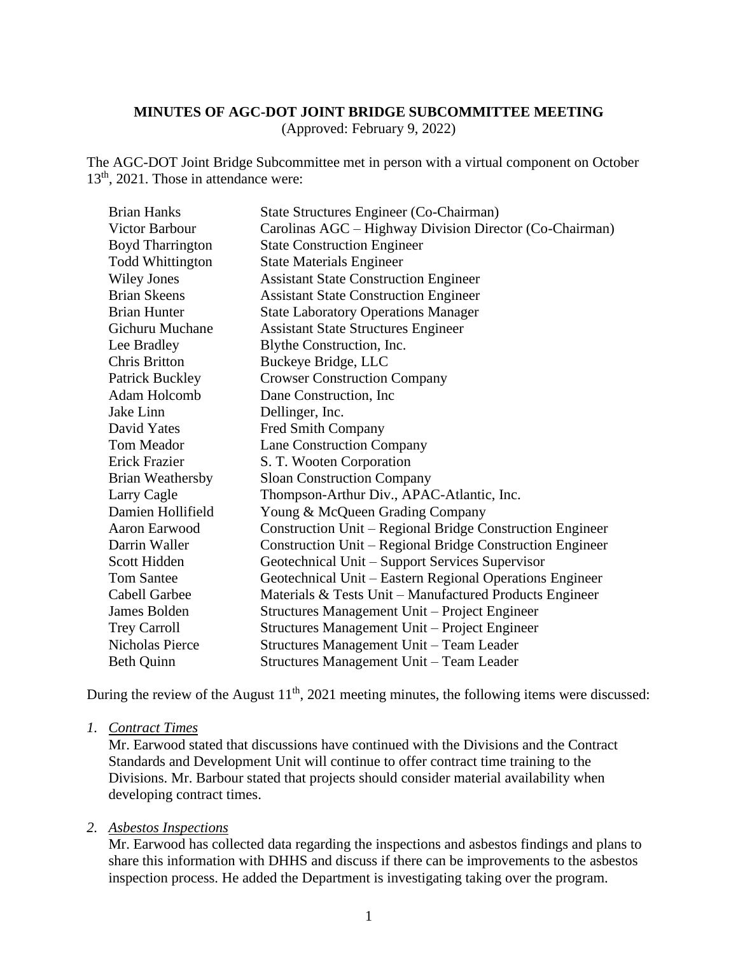#### **MINUTES OF AGC-DOT JOINT BRIDGE SUBCOMMITTEE MEETING**

(Approved: February 9, 2022)

The AGC-DOT Joint Bridge Subcommittee met in person with a virtual component on October 13<sup>th</sup>, 2021. Those in attendance were:

| <b>Brian Hanks</b>      | State Structures Engineer (Co-Chairman)                   |
|-------------------------|-----------------------------------------------------------|
| Victor Barbour          | Carolinas AGC - Highway Division Director (Co-Chairman)   |
| <b>Boyd Tharrington</b> | <b>State Construction Engineer</b>                        |
| <b>Todd Whittington</b> | <b>State Materials Engineer</b>                           |
| <b>Wiley Jones</b>      | <b>Assistant State Construction Engineer</b>              |
| <b>Brian Skeens</b>     | <b>Assistant State Construction Engineer</b>              |
| <b>Brian Hunter</b>     | <b>State Laboratory Operations Manager</b>                |
| <b>Gichuru Muchane</b>  | <b>Assistant State Structures Engineer</b>                |
| Lee Bradley             | Blythe Construction, Inc.                                 |
| <b>Chris Britton</b>    | Buckeye Bridge, LLC                                       |
| <b>Patrick Buckley</b>  | <b>Crowser Construction Company</b>                       |
| Adam Holcomb            | Dane Construction, Inc.                                   |
| Jake Linn               | Dellinger, Inc.                                           |
| David Yates             | Fred Smith Company                                        |
| Tom Meador              | <b>Lane Construction Company</b>                          |
| Erick Frazier           | S. T. Wooten Corporation                                  |
| <b>Brian Weathersby</b> | <b>Sloan Construction Company</b>                         |
| Larry Cagle             | Thompson-Arthur Div., APAC-Atlantic, Inc.                 |
| Damien Hollifield       | Young & McQueen Grading Company                           |
| Aaron Earwood           | Construction Unit - Regional Bridge Construction Engineer |
| Darrin Waller           | Construction Unit – Regional Bridge Construction Engineer |
| Scott Hidden            | Geotechnical Unit – Support Services Supervisor           |
| <b>Tom Santee</b>       | Geotechnical Unit – Eastern Regional Operations Engineer  |
| <b>Cabell Garbee</b>    | Materials & Tests Unit – Manufactured Products Engineer   |
| James Bolden            | Structures Management Unit – Project Engineer             |
| <b>Trey Carroll</b>     | Structures Management Unit - Project Engineer             |
| Nicholas Pierce         | Structures Management Unit - Team Leader                  |
| <b>Beth Quinn</b>       | Structures Management Unit - Team Leader                  |

During the review of the August  $11<sup>th</sup>$ , 2021 meeting minutes, the following items were discussed:

#### *1. Contract Times*

Mr. Earwood stated that discussions have continued with the Divisions and the Contract Standards and Development Unit will continue to offer contract time training to the Divisions. Mr. Barbour stated that projects should consider material availability when developing contract times.

#### *2. Asbestos Inspections*

Mr. Earwood has collected data regarding the inspections and asbestos findings and plans to share this information with DHHS and discuss if there can be improvements to the asbestos inspection process. He added the Department is investigating taking over the program.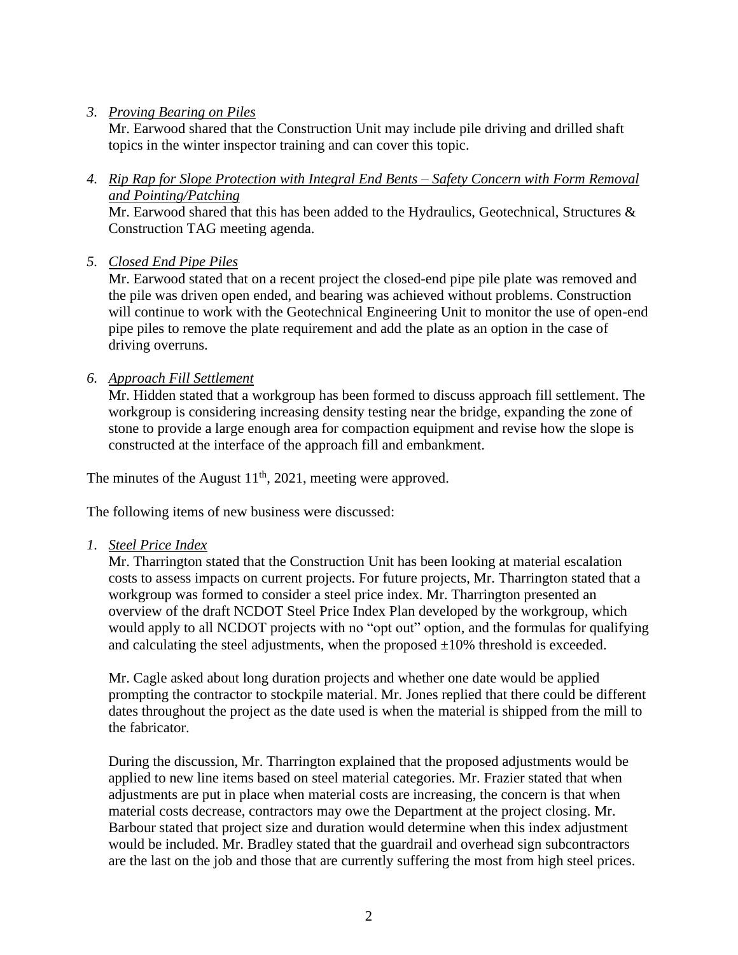#### *3. Proving Bearing on Piles*

Mr. Earwood shared that the Construction Unit may include pile driving and drilled shaft topics in the winter inspector training and can cover this topic.

*4. Rip Rap for Slope Protection with Integral End Bents – Safety Concern with Form Removal and Pointing/Patching*

Mr. Earwood shared that this has been added to the Hydraulics, Geotechnical, Structures & Construction TAG meeting agenda.

*5. Closed End Pipe Piles* 

Mr. Earwood stated that on a recent project the closed-end pipe pile plate was removed and the pile was driven open ended, and bearing was achieved without problems. Construction will continue to work with the Geotechnical Engineering Unit to monitor the use of open-end pipe piles to remove the plate requirement and add the plate as an option in the case of driving overruns.

*6. Approach Fill Settlement* 

Mr. Hidden stated that a workgroup has been formed to discuss approach fill settlement. The workgroup is considering increasing density testing near the bridge, expanding the zone of stone to provide a large enough area for compaction equipment and revise how the slope is constructed at the interface of the approach fill and embankment.

The minutes of the August  $11<sup>th</sup>$ , 2021, meeting were approved.

The following items of new business were discussed:

*1. Steel Price Index* 

Mr. Tharrington stated that the Construction Unit has been looking at material escalation costs to assess impacts on current projects. For future projects, Mr. Tharrington stated that a workgroup was formed to consider a steel price index. Mr. Tharrington presented an overview of the draft NCDOT Steel Price Index Plan developed by the workgroup, which would apply to all NCDOT projects with no "opt out" option, and the formulas for qualifying and calculating the steel adjustments, when the proposed  $\pm 10\%$  threshold is exceeded.

Mr. Cagle asked about long duration projects and whether one date would be applied prompting the contractor to stockpile material. Mr. Jones replied that there could be different dates throughout the project as the date used is when the material is shipped from the mill to the fabricator.

During the discussion, Mr. Tharrington explained that the proposed adjustments would be applied to new line items based on steel material categories. Mr. Frazier stated that when adjustments are put in place when material costs are increasing, the concern is that when material costs decrease, contractors may owe the Department at the project closing. Mr. Barbour stated that project size and duration would determine when this index adjustment would be included. Mr. Bradley stated that the guardrail and overhead sign subcontractors are the last on the job and those that are currently suffering the most from high steel prices.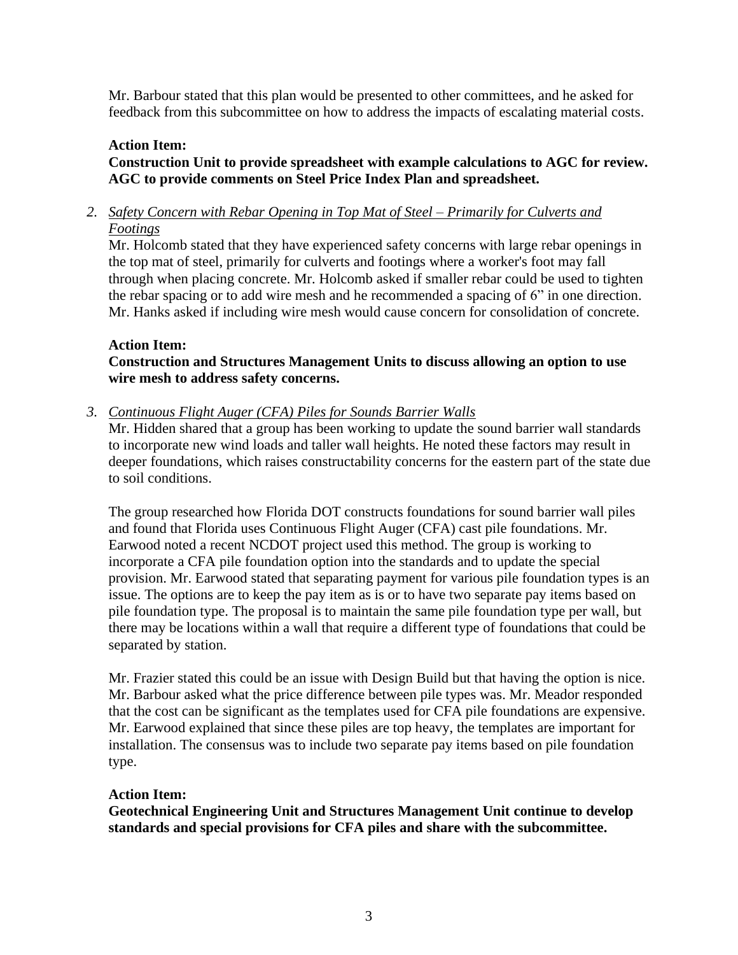Mr. Barbour stated that this plan would be presented to other committees, and he asked for feedback from this subcommittee on how to address the impacts of escalating material costs.

### **Action Item:**

## **Construction Unit to provide spreadsheet with example calculations to AGC for review. AGC to provide comments on Steel Price Index Plan and spreadsheet.**

*2. Safety Concern with Rebar Opening in Top Mat of Steel – Primarily for Culverts and Footings*

Mr. Holcomb stated that they have experienced safety concerns with large rebar openings in the top mat of steel, primarily for culverts and footings where a worker's foot may fall through when placing concrete. Mr. Holcomb asked if smaller rebar could be used to tighten the rebar spacing or to add wire mesh and he recommended a spacing of 6" in one direction. Mr. Hanks asked if including wire mesh would cause concern for consolidation of concrete.

#### **Action Item:**

**Construction and Structures Management Units to discuss allowing an option to use wire mesh to address safety concerns.** 

*3. Continuous Flight Auger (CFA) Piles for Sounds Barrier Walls*

Mr. Hidden shared that a group has been working to update the sound barrier wall standards to incorporate new wind loads and taller wall heights. He noted these factors may result in deeper foundations, which raises constructability concerns for the eastern part of the state due to soil conditions.

The group researched how Florida DOT constructs foundations for sound barrier wall piles and found that Florida uses Continuous Flight Auger (CFA) cast pile foundations. Mr. Earwood noted a recent NCDOT project used this method. The group is working to incorporate a CFA pile foundation option into the standards and to update the special provision. Mr. Earwood stated that separating payment for various pile foundation types is an issue. The options are to keep the pay item as is or to have two separate pay items based on pile foundation type. The proposal is to maintain the same pile foundation type per wall, but there may be locations within a wall that require a different type of foundations that could be separated by station.

Mr. Frazier stated this could be an issue with Design Build but that having the option is nice. Mr. Barbour asked what the price difference between pile types was. Mr. Meador responded that the cost can be significant as the templates used for CFA pile foundations are expensive. Mr. Earwood explained that since these piles are top heavy, the templates are important for installation. The consensus was to include two separate pay items based on pile foundation type.

#### **Action Item:**

**Geotechnical Engineering Unit and Structures Management Unit continue to develop standards and special provisions for CFA piles and share with the subcommittee.**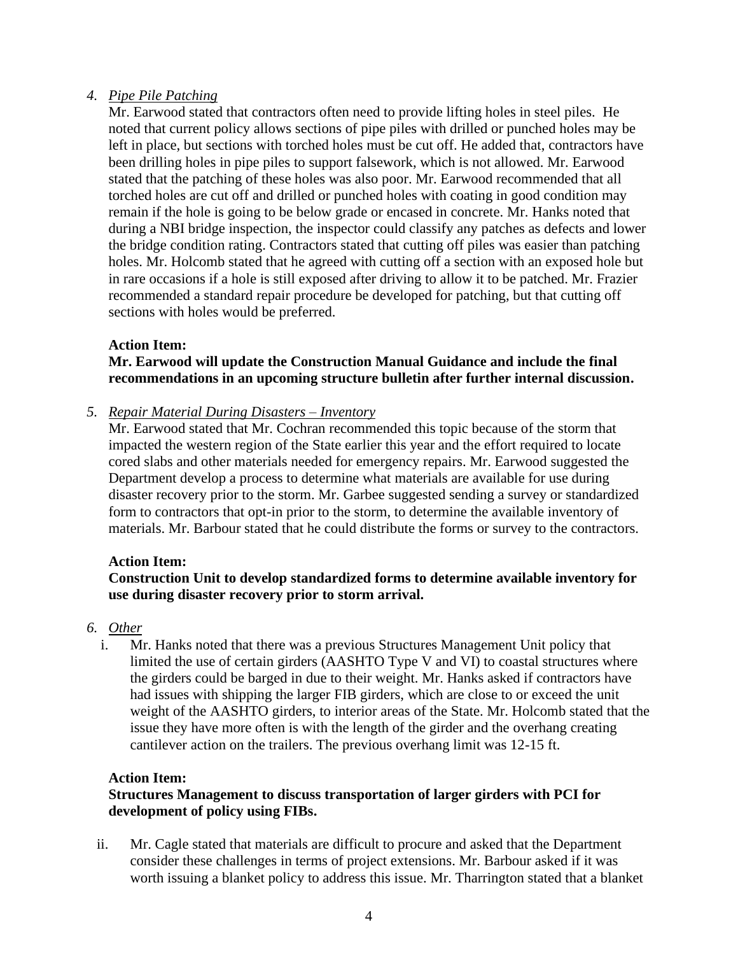### *4. Pipe Pile Patching*

Mr. Earwood stated that contractors often need to provide lifting holes in steel piles. He noted that current policy allows sections of pipe piles with drilled or punched holes may be left in place, but sections with torched holes must be cut off. He added that, contractors have been drilling holes in pipe piles to support falsework, which is not allowed. Mr. Earwood stated that the patching of these holes was also poor. Mr. Earwood recommended that all torched holes are cut off and drilled or punched holes with coating in good condition may remain if the hole is going to be below grade or encased in concrete. Mr. Hanks noted that during a NBI bridge inspection, the inspector could classify any patches as defects and lower the bridge condition rating. Contractors stated that cutting off piles was easier than patching holes. Mr. Holcomb stated that he agreed with cutting off a section with an exposed hole but in rare occasions if a hole is still exposed after driving to allow it to be patched. Mr. Frazier recommended a standard repair procedure be developed for patching, but that cutting off sections with holes would be preferred.

#### **Action Item:**

## **Mr. Earwood will update the Construction Manual Guidance and include the final recommendations in an upcoming structure bulletin after further internal discussion.**

#### *5. Repair Material During Disasters – Inventory*

Mr. Earwood stated that Mr. Cochran recommended this topic because of the storm that impacted the western region of the State earlier this year and the effort required to locate cored slabs and other materials needed for emergency repairs. Mr. Earwood suggested the Department develop a process to determine what materials are available for use during disaster recovery prior to the storm. Mr. Garbee suggested sending a survey or standardized form to contractors that opt-in prior to the storm, to determine the available inventory of materials. Mr. Barbour stated that he could distribute the forms or survey to the contractors.

#### **Action Item:**

### **Construction Unit to develop standardized forms to determine available inventory for use during disaster recovery prior to storm arrival.**

### *6. Other*

i. Mr. Hanks noted that there was a previous Structures Management Unit policy that limited the use of certain girders (AASHTO Type V and VI) to coastal structures where the girders could be barged in due to their weight. Mr. Hanks asked if contractors have had issues with shipping the larger FIB girders, which are close to or exceed the unit weight of the AASHTO girders, to interior areas of the State. Mr. Holcomb stated that the issue they have more often is with the length of the girder and the overhang creating cantilever action on the trailers. The previous overhang limit was 12-15 ft.

### **Action Item:**

### **Structures Management to discuss transportation of larger girders with PCI for development of policy using FIBs.**

ii. Mr. Cagle stated that materials are difficult to procure and asked that the Department consider these challenges in terms of project extensions. Mr. Barbour asked if it was worth issuing a blanket policy to address this issue. Mr. Tharrington stated that a blanket